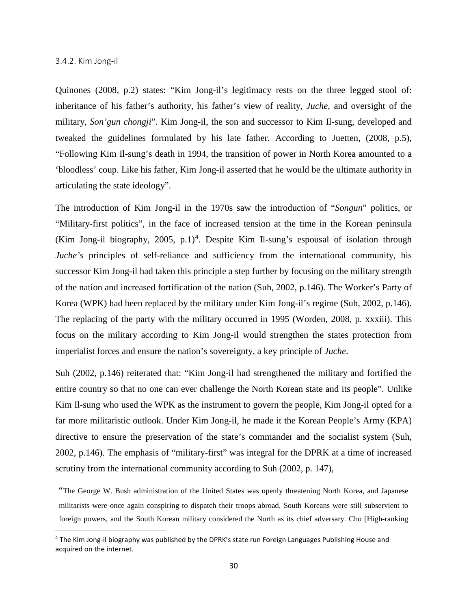## 3.4.2. Kim Jong-il

 $\overline{a}$ 

Quinones (2008, p.2) states: "Kim Jong-il's legitimacy rests on the three legged stool of: inheritance of his father's authority, his father's view of reality, *Juche*, and oversight of the military, *Son'gun chongji*". Kim Jong-il, the son and successor to Kim Il-sung, developed and tweaked the guidelines formulated by his late father. According to Juetten, (2008, p.5), "Following Kim Il-sung's death in 1994, the transition of power in North Korea amounted to a 'bloodless' coup. Like his father, Kim Jong-il asserted that he would be the ultimate authority in articulating the state ideology".

The introduction of Kim Jong-il in the 1970s saw the introduction of "*Songun*" politics, or "Military-first politics", in the face of increased tension at the time in the Korean peninsula (Kim Jong-il biography, 2005, p.1)<sup>[4](#page-35-0)</sup>. Despite Kim Il-sung's espousal of isolation through *Juche's* principles of self-reliance and sufficiency from the international community, his successor Kim Jong-il had taken this principle a step further by focusing on the military strength of the nation and increased fortification of the nation (Suh, 2002, p.146). The Worker's Party of Korea (WPK) had been replaced by the military under Kim Jong-il's regime (Suh, 2002, p.146). The replacing of the party with the military occurred in 1995 (Worden, 2008, p. xxxiii). This focus on the military according to Kim Jong-il would strengthen the states protection from imperialist forces and ensure the nation's sovereignty, a key principle of *Juche*. WESTERN CAPE

Suh (2002, p.146) reiterated that: "Kim Jong-il had strengthened the military and fortified the entire country so that no one can ever challenge the North Korean state and its people". Unlike Kim Il-sung who used the WPK as the instrument to govern the people, Kim Jong-il opted for a far more militaristic outlook. Under Kim Jong-il, he made it the Korean People's Army (KPA) directive to ensure the preservation of the state's commander and the socialist system (Suh, 2002, p.146). The emphasis of "military-first" was integral for the DPRK at a time of increased scrutiny from the international community according to Suh (2002, p. 147),

"The George W. Bush administration of the United States was openly threatening North Korea, and Japanese militarists were once again conspiring to dispatch their troops abroad. South Koreans were still subservient to foreign powers, and the South Korean military considered the North as its chief adversary. Cho [High-ranking

<span id="page-35-0"></span><sup>4</sup> The Kim Jong-il biography was published by the DPRK's state run Foreign Languages Publishing House and acquired on the internet.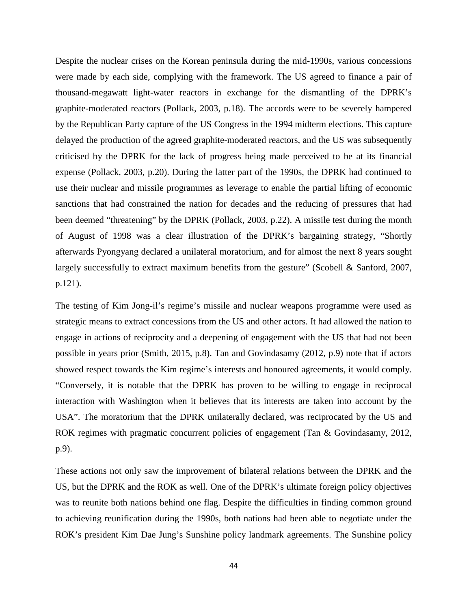Despite the nuclear crises on the Korean peninsula during the mid-1990s, various concessions were made by each side, complying with the framework. The US agreed to finance a pair of thousand-megawatt light-water reactors in exchange for the dismantling of the DPRK's graphite-moderated reactors (Pollack, 2003, p.18). The accords were to be severely hampered by the Republican Party capture of the US Congress in the 1994 midterm elections. This capture delayed the production of the agreed graphite-moderated reactors, and the US was subsequently criticised by the DPRK for the lack of progress being made perceived to be at its financial expense (Pollack, 2003, p.20). During the latter part of the 1990s, the DPRK had continued to use their nuclear and missile programmes as leverage to enable the partial lifting of economic sanctions that had constrained the nation for decades and the reducing of pressures that had been deemed "threatening" by the DPRK (Pollack, 2003, p.22). A missile test during the month of August of 1998 was a clear illustration of the DPRK's bargaining strategy, "Shortly afterwards Pyongyang declared a unilateral moratorium, and for almost the next 8 years sought largely successfully to extract maximum benefits from the gesture" (Scobell & Sanford, 2007, p.121).

The testing of Kim Jong-il's regime's missile and nuclear weapons programme were used as strategic means to extract concessions from the US and other actors. It had allowed the nation to engage in actions of reciprocity and a deepening of engagement with the US that had not been possible in years prior (Smith, 2015, p.8). Tan and Govindasamy (2012, p.9) note that if actors showed respect towards the Kim regime's interests and honoured agreements, it would comply. "Conversely, it is notable that the DPRK has proven to be willing to engage in reciprocal interaction with Washington when it believes that its interests are taken into account by the USA". The moratorium that the DPRK unilaterally declared, was reciprocated by the US and ROK regimes with pragmatic concurrent policies of engagement (Tan & Govindasamy, 2012, p.9).

These actions not only saw the improvement of bilateral relations between the DPRK and the US, but the DPRK and the ROK as well. One of the DPRK's ultimate foreign policy objectives was to reunite both nations behind one flag. Despite the difficulties in finding common ground to achieving reunification during the 1990s, both nations had been able to negotiate under the ROK's president Kim Dae Jung's Sunshine policy landmark agreements. The Sunshine policy